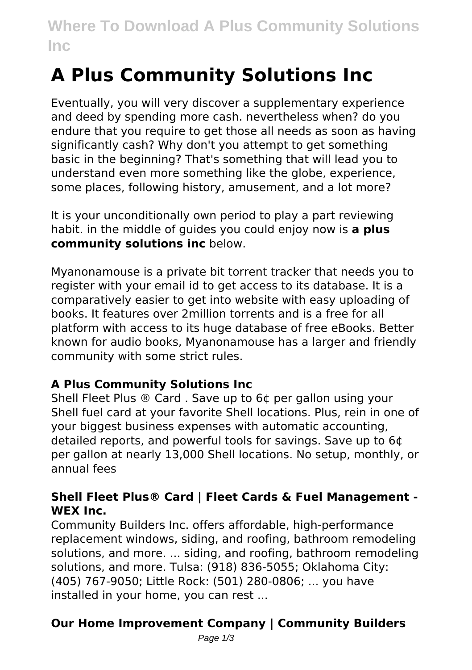# **Where To Download A Plus Community Solutions Inc**

# **A Plus Community Solutions Inc**

Eventually, you will very discover a supplementary experience and deed by spending more cash. nevertheless when? do you endure that you require to get those all needs as soon as having significantly cash? Why don't you attempt to get something basic in the beginning? That's something that will lead you to understand even more something like the globe, experience, some places, following history, amusement, and a lot more?

It is your unconditionally own period to play a part reviewing habit. in the middle of guides you could enjoy now is **a plus community solutions inc** below.

Myanonamouse is a private bit torrent tracker that needs you to register with your email id to get access to its database. It is a comparatively easier to get into website with easy uploading of books. It features over 2million torrents and is a free for all platform with access to its huge database of free eBooks. Better known for audio books, Myanonamouse has a larger and friendly community with some strict rules.

### **A Plus Community Solutions Inc**

Shell Fleet Plus ® Card . Save up to 6¢ per gallon using your Shell fuel card at your favorite Shell locations. Plus, rein in one of your biggest business expenses with automatic accounting, detailed reports, and powerful tools for savings. Save up to 6¢ per gallon at nearly 13,000 Shell locations. No setup, monthly, or annual fees

#### **Shell Fleet Plus® Card | Fleet Cards & Fuel Management - WEX Inc.**

Community Builders Inc. offers affordable, high-performance replacement windows, siding, and roofing, bathroom remodeling solutions, and more. ... siding, and roofing, bathroom remodeling solutions, and more. Tulsa: (918) 836-5055; Oklahoma City: (405) 767-9050; Little Rock: (501) 280-0806; ... you have installed in your home, you can rest ...

## **Our Home Improvement Company | Community Builders**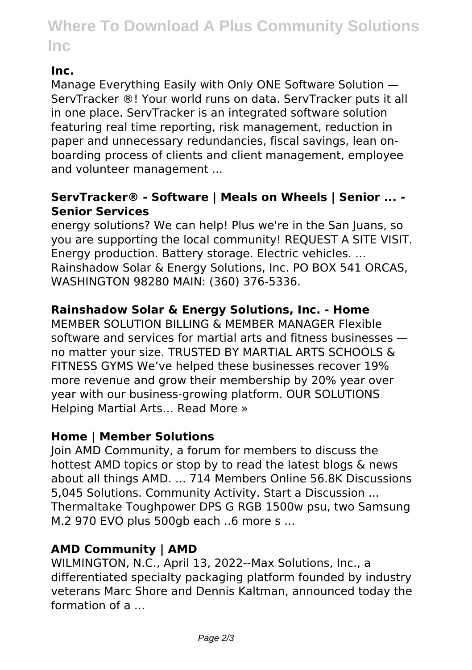# **Where To Download A Plus Community Solutions Inc**

#### **Inc.**

Manage Everything Easily with Only ONE Software Solution — ServTracker ®! Your world runs on data. ServTracker puts it all in one place. ServTracker is an integrated software solution featuring real time reporting, risk management, reduction in paper and unnecessary redundancies, fiscal savings, lean onboarding process of clients and client management, employee and volunteer management ...

#### **ServTracker® - Software | Meals on Wheels | Senior ... - Senior Services**

energy solutions? We can help! Plus we're in the San Juans, so you are supporting the local community! REQUEST A SITE VISIT. Energy production. Battery storage. Electric vehicles. ... Rainshadow Solar & Energy Solutions, Inc. PO BOX 541 ORCAS, WASHINGTON 98280 MAIN: (360) 376-5336.

#### **Rainshadow Solar & Energy Solutions, Inc. - Home**

MEMBER SOLUTION BILLING & MEMBER MANAGER Flexible software and services for martial arts and fitness businesses no matter your size. TRUSTED BY MARTIAL ARTS SCHOOLS & FITNESS GYMS We've helped these businesses recover 19% more revenue and grow their membership by 20% year over year with our business-growing platform. OUR SOLUTIONS Helping Martial Arts… Read More »

#### **Home | Member Solutions**

Join AMD Community, a forum for members to discuss the hottest AMD topics or stop by to read the latest blogs & news about all things AMD. ... 714 Members Online 56.8K Discussions 5,045 Solutions. Community Activity. Start a Discussion ... Thermaltake Toughpower DPS G RGB 1500w psu, two Samsung M.2 970 EVO plus 500gb each ..6 more s ...

#### **AMD Community | AMD**

WILMINGTON, N.C., April 13, 2022--Max Solutions, Inc., a differentiated specialty packaging platform founded by industry veterans Marc Shore and Dennis Kaltman, announced today the formation of a ...